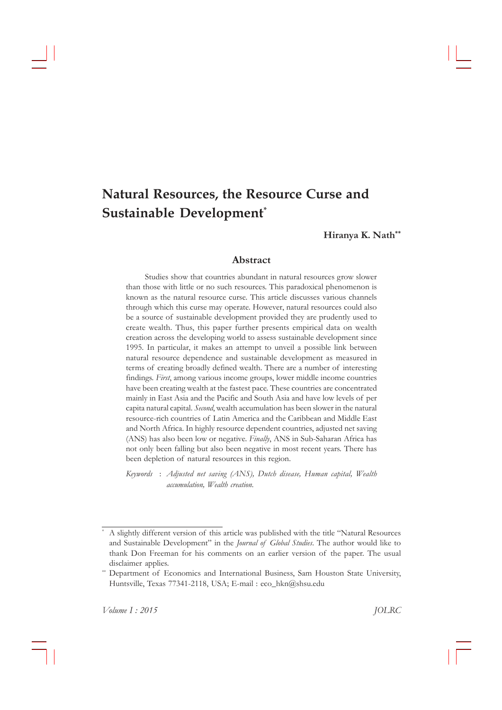# **Natural Resources, the Resource Curse and Sustainable Development\***

**Hiranya K. Nath\*\***

# **Abstract**

Studies show that countries abundant in natural resources grow slower than those with little or no such resources. This paradoxical phenomenon is known as the natural resource curse. This article discusses various channels through which this curse may operate. However, natural resources could also be a source of sustainable development provided they are prudently used to create wealth. Thus, this paper further presents empirical data on wealth creation across the developing world to assess sustainable development since 1995. In particular, it makes an attempt to unveil a possible link between natural resource dependence and sustainable development as measured in terms of creating broadly defined wealth. There are a number of interesting findings. *First*, among various income groups, lower middle income countries have been creating wealth at the fastest pace. These countries are concentrated mainly in East Asia and the Pacific and South Asia and have low levels of per capita†natural†capital.†*Second*,†wealth†accumulation†has†been†slower†in†the†natural resource-rich countries of Latin America and the Caribbean and Middle East and North Africa. In highly resource dependent countries, adjusted net saving (ANS)†has†also†been†low†or†negative.†*Finally*,†ANS†in†Sub-Saharan†Africa†has not only been falling but also been negative in most recent years. There has been depletion of natural resources in this region.

*Keywords* : *Adjusted net saving (ANS), Dutch disease, Human capital, Wealth accumulation, Wealth creation.*

A slightly different version of this article was published with the title "Natural Resources and Sustainable Development" in the *Journal of Global Studies*. The author would like to thank Don Freeman for his comments on an earlier version of the paper. The usual disclaimer applies.

<sup>\*\*</sup> Department of Economics and International Business, Sam Houston State University, Huntsville, Texas 77341-2118, USA; E-mail: eco\_hkn@shsu.edu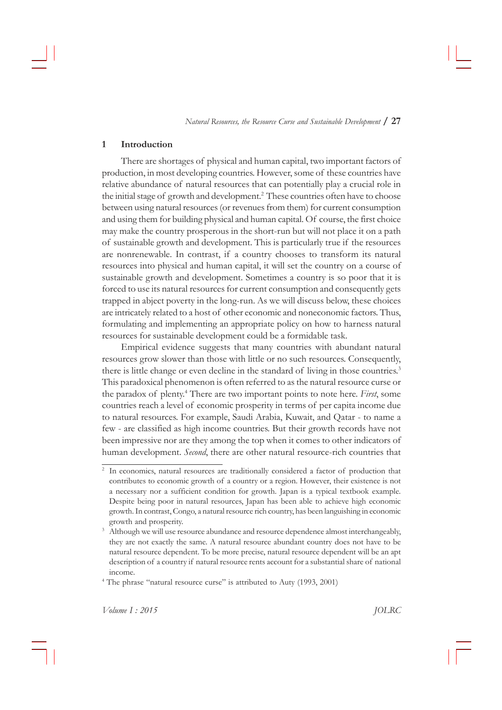*Natural Resources, the Resource Curse and Sustainable Development* **/ 27**

## **1 Introduction**

There are shortages of physical and human capital, two important factors of production, in most developing countries. However, some of these countries have relative abundance of natural resources that can potentially play a crucial role in the initial stage of growth and development.<sup>2</sup> These countries often have to choose between using natural resources (or revenues from them) for current consumption and using them for building physical and human capital. Of course, the first choice may make the country prosperous in the short-run but will not place it on a path of sustainable growth and development. This is particularly true if the resources are nonrenewable. In contrast, if a country chooses to transform its natural resources into physical and human capital, it will set the country on a course of sustainable growth and development. Sometimes a country is so poor that it is forced to use its natural resources for current consumption and consequently gets trapped in abject poverty in the long-run. As we will discuss below, these choices are intricately related to a host of other economic and noneconomic factors. Thus, formulating and implementing an appropriate policy on how to harness natural resources for sustainable development could be a formidable task.

Empirical evidence suggests that many countries with abundant natural resources grow slower than those with little or no such resources. Consequently, there is little change or even decline in the standard of living in those countries.<sup>3</sup> This paradoxical phenomenon is often referred to as the natural resource curse or the paradox of plenty.<sup>4</sup> There are two important points to note here. First, some countries reach a level of economic prosperity in terms of per capita income due to natural resources. For example, Saudi Arabia, Kuwait, and Qatar - to name a few - are classified as high income countries. But their growth records have not been impressive nor are they among the top when it comes to other indicators of human development. *Second*, there are other natural resource-rich countries that

<sup>&</sup>lt;sup>2</sup> In economics, natural resources are traditionally considered a factor of production that contributes to economic growth of a country or a region. However, their existence is not a necessary nor a sufficient condition for growth. Japan is a typical textbook example. Despite being poor in natural resources, Japan has been able to achieve high economic growth. In contrast, Congo, a natural resource rich country, has been languishing in economic growth and prosperity.

<sup>&</sup>lt;sup>3</sup> Although we will use resource abundance and resource dependence almost interchangeably, they are not exactly the same. A natural resource abundant country does not have to be natural resource dependent. To be more precise, natural resource dependent will be an apt description of a country if natural resource rents account for a substantial share of national income.

<sup>&</sup>lt;sup>4</sup> The phrase "natural resource curse" is attributed to Auty (1993, 2001)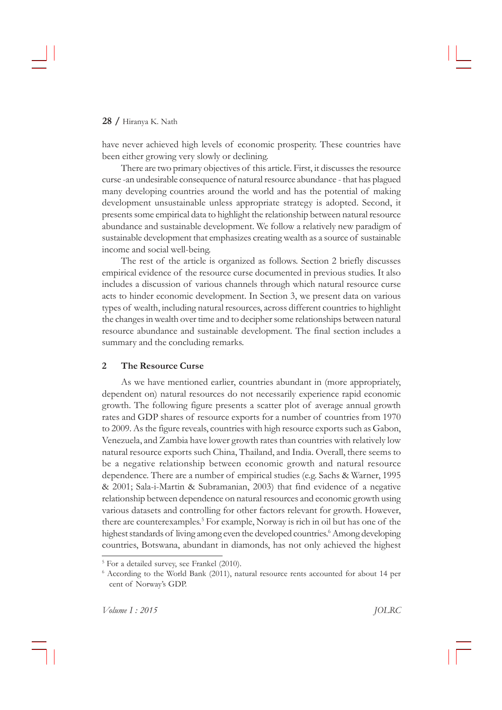have never achieved high levels of economic prosperity. These countries have been either growing very slowly or declining.

There are two primary objectives of this article. First, it discusses the resource curse-an undesirable consequence of natural resource abundance - that has plagued many developing countries around the world and has the potential of making development unsustainable unless appropriate strategy is adopted. Second, it presents†some†empirical†data†to†highlight†the†relationship†between†natural†resource abundance and sustainable development. We follow a relatively new paradigm of sustainable development that emphasizes creating wealth as a source of sustainable income and social well-being.

The rest of the article is organized as follows. Section 2 briefly discusses empirical evidence of the resource curse documented in previous studies. It also includes a discussion of various channels through which natural resource curse acts to hinder economic development. In Section 3, we present data on various types of wealth, including natural resources, across different countries to highlight the changes in wealth over time and to decipher some relationships between natural resource abundance and sustainable development. The final section includes a summary and the concluding remarks.

# **2 The Resource Curse**

As we have mentioned earlier, countries abundant in (more appropriately, dependent on) natural resources do not necessarily experience rapid economic growth. The following figure presents a scatter plot of average annual growth rates and GDP shares of resource exports for a number of countries from 1970 to 2009. As the figure reveals, countries with high resource exports such as Gabon, Venezuela, and Zambia have lower growth rates than countries with relatively low natural resource exports such China, Thailand, and India. Overall, there seems to be a negative relationship between economic growth and natural resource dependence. There are a number of empirical studies (e.g. Sachs & Warner, 1995 & 2001; Sala-i-Martin & Subramanian, 2003) that find evidence of a negative relationship between dependence on natural resources and economic growth using various datasets and controlling for other factors relevant for growth. However, there are counterexamples.<sup>5</sup> For example, Norway is rich in oil but has one of the highest standards of living among even the developed countries.<sup>6</sup> Among developing countries, Botswana, abundant in diamonds, has not only achieved the highest

<sup>&</sup>lt;sup>5</sup> For a detailed survey, see Frankel (2010).

<sup>&</sup>lt;sup>6</sup> According to the World Bank (2011), natural resource rents accounted for about 14 per cent of Norway's GDP.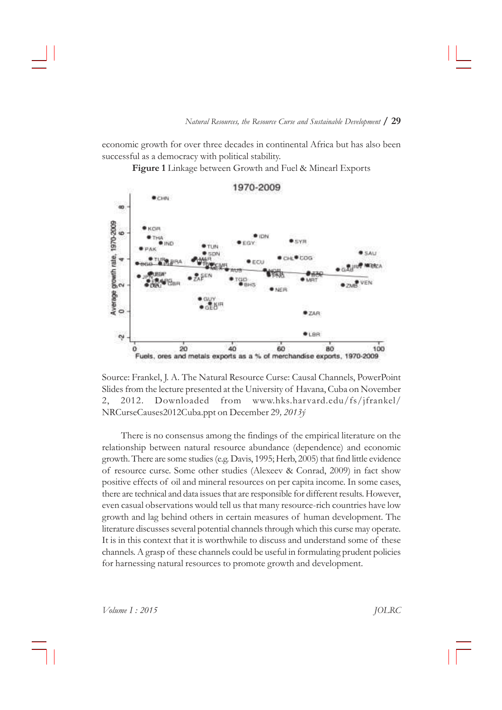economic growth for over three decades in continental Africa but has also been successful as a democracy with political stability.

Figure 1 Linkage between Growth and Fuel & Minearl Exports



Source: Frankel, J. A. The Natural Resource Curse: Causal Channels, PowerPoint Slides from the lecture presented at the University of Havana, Cuba on November 2, 2012. Downloaded from www.hks.harvard.edu/fs/jfrankel/ NRCurseCauses2012Cuba.ppt†on†December†29*, 2013˝*

There is no consensus among the findings of the empirical literature on the relationship between natural resource abundance (dependence) and economic growth. There are some studies (e.g. Davis, 1995; Herb, 2005) that find little evidence of resource curse. Some other studies (Alexeev & Conrad, 2009) in fact show positive effects of oil and mineral resources on per capita income. In some cases, there are technical and data issues that are responsible for different results. However, even casual observations would tell us that many resource-rich countries have low growth and lag behind others in certain measures of human development. The literature discusses several potential channels through which this curse may operate. It is in this context that it is worthwhile to discuss and understand some of these channels. A grasp of these channels could be useful in formulating prudent policies for harnessing natural resources to promote growth and development.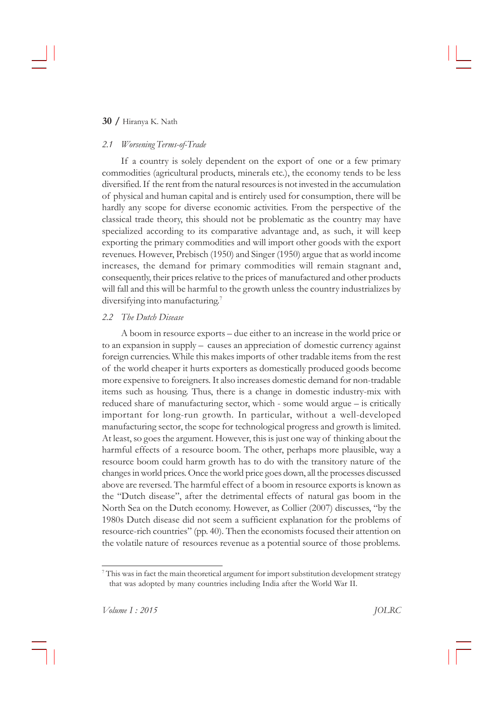# *2.1 Worsening Terms-of-Trade*

If a country is solely dependent on the export of one or a few primary commodities (agricultural products, minerals etc.), the economy tends to be less diversified. If the rent from the natural resources is not invested in the accumulation of physical and human capital and is entirely used for consumption, there will be hardly any scope for diverse economic activities. From the perspective of the classical trade theory, this should not be problematic as the country may have specialized according to its comparative advantage and, as such, it will keep exporting the primary commodities and will import other goods with the export revenues. However, Prebisch (1950) and Singer (1950) argue that as world income increases, the demand for primary commodities will remain stagnant and, consequently, their prices relative to the prices of manufactured and other products will fall and this will be harmful to the growth unless the country industrializes by diversifying into manufacturing.<sup>7</sup>

## *2.2 The Dutch Disease*

A boom in resource exports – due either to an increase in the world price or to an expansion in supply – causes an appreciation of domestic currency against foreign currencies. While this makes imports of other tradable items from the rest of †the†world†cheaper†it†hurts†exporters†as†domestically†produced†goods†become more expensive to foreigners. It also increases domestic demand for non-tradable items such as housing. Thus, there is a change in domestic industry-mix with reduced share of manufacturing sector, which - some would argue  $-$  is critically important for long-run growth. In particular, without a well-developed manufacturing sector, the scope for technological progress and growth is limited. At least, so goes the argument. However, this is just one way of thinking about the harmful effects of a resource boom. The other, perhaps more plausible, way a resource boom could harm growth has to do with the transitory nature of the changes in world prices. Once the world price goes down, all the processes discussed above are reversed. The harmful effect of a boom in resource exports is known as the "Dutch disease", after the detrimental effects of natural gas boom in the North Sea on the Dutch economy. However, as Collier (2007) discusses, "by the 1980s Dutch disease did not seem a sufficient explanation for the problems of resource-rich countries" (pp. 40). Then the economists focused their attention on the volatile nature of resources revenue as a potential source of those problems.

 $^7$ This was in fact the main theoretical argument for import substitution development strategy that was adopted by many countries including India after the World War II.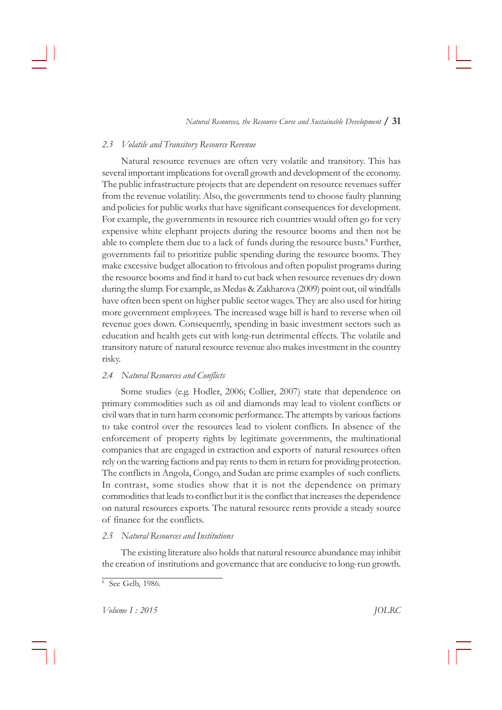*Natural Resources, the Resource Curse and Sustainable Development* **/ 31**

## *2.3 Volatile and Transitory Resource Revenue*

Natural resource revenues are often very volatile and transitory. This has several important implications for overall growth and development of the economy. The public infrastructure projects that are dependent on resource revenues suffer from the revenue volatility. Also, the governments tend to choose faulty planning and policies for public works that have significant consequences for development. For example, the governments in resource rich countries would often go for very expensive white elephant projects during the resource booms and then not be able to complete them due to a lack of funds during the resource busts.<sup>8</sup> Further, governments fail to prioritize public spending during the resource booms. They make excessive budget allocation to frivolous and often populist programs during the resource booms and find it hard to cut back when resource revenues dry down during the slump. For example, as Medas & Zakharova (2009) point out, oil windfalls have often been spent on higher public sector wages. They are also used for hiring more government employees. The increased wage bill is hard to reverse when oil revenue goes down. Consequently, spending in basic investment sectors such as education and health gets cut with long-run detrimental effects. The volatile and transitory†nature†of†natural†resource†revenue†also†makes†investment†in†the†country risky.

#### *2.4 Natural Resources and Conflicts*

Some studies (e.g. Hodler, 2006; Collier, 2007) state that dependence on primary commodities such as oil and diamonds may lead to violent conflicts or civil wars that in turn harm economic performance. The attempts by various factions to take control over the resources lead to violent conflicts. In absence of the enforcement of property rights by legitimate governments, the multinational companies that are engaged in extraction and exports of natural resources often rely on the warring factions and pay rents to them in return for providing protection. The conflicts in Angola, Congo, and Sudan are prime examples of such conflicts. In contrast, some studies show that it is not the dependence on primary commodities that leads to conflict but it is the conflict that increases the dependence on natural resources exports. The natural resource rents provide a steady source of finance for the conflicts.

#### *2.5 Natural Resources and Institutions*

The existing literature also holds that natural resource abundance may inhibit the creation of institutions and governance that are conducive to long-run growth.

<sup>&</sup>lt;sup>8</sup> See Gelb, 1986.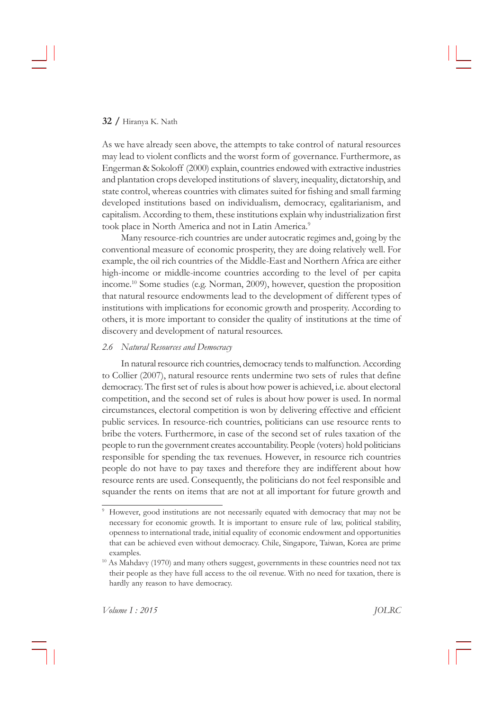As we have already seen above, the attempts to take control of natural resources may lead to violent conflicts and the worst form of governance. Furthermore, as Engerman & Sokoloff (2000) explain, countries endowed with extractive industries and plantation crops developed institutions of slavery, inequality, dictatorship, and state control, whereas countries with climates suited for fishing and small farming developed institutions based on individualism, democracy, egalitarianism, and capitalism. According to them, these institutions explain why industrialization first took place in North America and not in Latin America.<sup>9</sup>

Many resource-rich countries are under autocratic regimes and, going by the conventional measure of economic prosperity, they are doing relatively well. For example, the oil rich countries of the Middle-East and Northern Africa are either high-income or middle-income countries according to the level of per capita income.<sup>10</sup> Some studies (e.g. Norman, 2009), however, question the proposition that natural resource endowments lead to the development of different types of institutions with implications for economic growth and prosperity. According to others, it is more important to consider the quality of institutions at the time of discovery and development of natural resources.

#### *2.6 Natural Resources and Democracy*

In natural resource rich countries, democracy tends to malfunction. According to Collier (2007), natural resource rents undermine two sets of rules that define democracy. The first set of rules is about how power is achieved, i.e. about electoral competition, and the second set of rules is about how power is used. In normal circumstances, electoral competition is won by delivering effective and efficient public services. In resource-rich countries, politicians can use resource rents to bribe the voters. Furthermore, in case of the second set of rules taxation of the people to run the government creates accountability. People (voters) hold politicians responsible for spending the tax revenues. However, in resource rich countries people†do†not†have†to†pay†taxes†and†therefore†they†are†indifferent†about†how resource rents are used. Consequently, the politicians do not feel responsible and squander the rents on items that are not at all important for future growth and

<sup>&</sup>lt;sup>9</sup> However, good institutions are not necessarily equated with democracy that may not be necessary for economic growth. It is important to ensure rule of law, political stability, openness to international trade, initial equality of economic endowment and opportunities that can be achieved even without democracy. Chile, Singapore, Taiwan, Korea are prime examples.

 $10$  As Mahdavy (1970) and many others suggest, governments in these countries need not tax their people as they have full access to the oil revenue. With no need for taxation, there is hardly any reason to have democracy.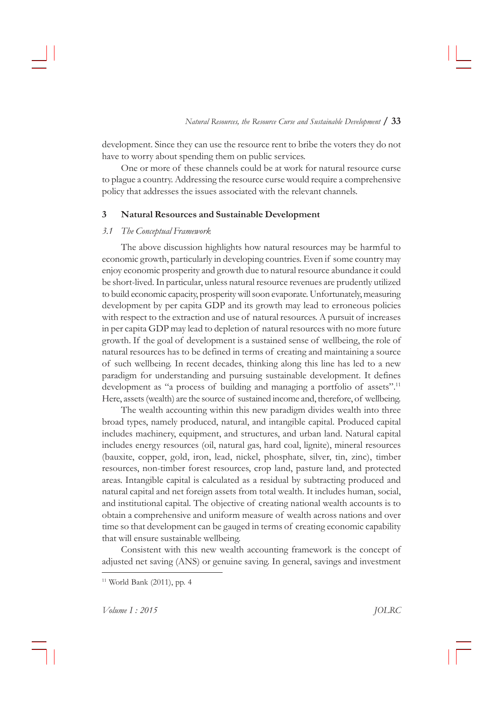development. Since they can use the resource rent to bribe the voters they do not have to worry about spending them on public services.

One or more of these channels could be at work for natural resource curse to plague a country. Addressing the resource curse would require a comprehensive policy that addresses the issues associated with the relevant channels.

#### **3 Natural Resources and Sustainable Development**

#### *3.1 The Conceptual Framework*

The above discussion highlights how natural resources may be harmful to economic growth, particularly in developing countries. Even if some country may enjoy economic prosperity and growth due to natural resource abundance it could be short-lived. In particular, unless natural resource revenues are prudently utilized to build economic capacity, prosperity will soon evaporate. Unfortunately, measuring development by per capita GDP and its growth may lead to erroneous policies with respect to the extraction and use of natural resources. A pursuit of increases in per capita GDP may lead to depletion of natural resources with no more future growth. If the goal of development is a sustained sense of wellbeing, the role of natural resources has to be defined in terms of creating and maintaining a source of such wellbeing. In recent decades, thinking along this line has led to a new paradigm for understanding and pursuing sustainable development. It defines development as "a process of building and managing a portfolio of assets".<sup>11</sup> Here, assets (wealth) are the source of sustained income and, therefore, of wellbeing.

The wealth accounting within this new paradigm divides wealth into three broad types, namely produced, natural, and intangible capital. Produced capital includes machinery, equipment, and structures, and urban land. Natural capital includes energy resources (oil, natural gas, hard coal, lignite), mineral resources (bauxite, copper, gold, iron, lead, nickel, phosphate, silver, tin, zinc), timber resources, non-timber forest resources, crop land, pasture land, and protected areas. Intangible capital is calculated as a residual by subtracting produced and natural capital and net foreign assets from total wealth. It includes human, social, and institutional capital. The objective of creating national wealth accounts is to obtain a comprehensive and uniform measure of wealth across nations and over time so that development can be gauged in terms of creating economic capability that will ensure sustainable wellbeing.

Consistent with this new wealth accounting framework is the concept of adjusted net saving (ANS) or genuine saving. In general, savings and investment

 $11$  World Bank (2011), pp. 4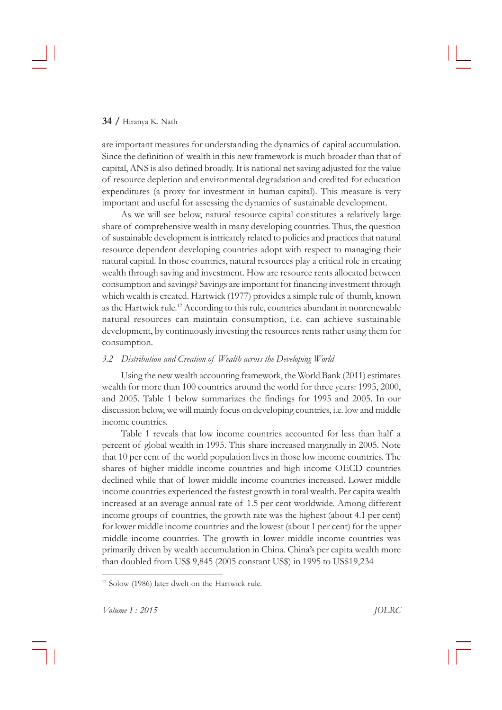are important measures for understanding the dynamics of capital accumulation. Since the definition of wealth in this new framework is much broader than that of capital, ANS is also defined broadly. It is national net saving adjusted for the value of resource depletion and environmental degradation and credited for education expenditures (a proxy for investment in human capital). This measure is very important and useful for assessing the dynamics of sustainable development.

As we will see below, natural resource capital constitutes a relatively large share of comprehensive wealth in many developing countries. Thus, the question of sustainable development is intricately related to policies and practices that natural resource dependent developing countries adopt with respect to managing their natural capital. In those countries, natural resources play a critical role in creating wealth through saving and investment. How are resource rents allocated between consumption and savings? Savings are important for financing investment through which wealth is created. Hartwick (1977) provides a simple rule of thumb, known as the Hartwick rule.<sup>12</sup> According to this rule, countries abundant in nonrenewable natural resources can maintain consumption, i.e. can achieve sustainable development, by continuously investing the resources rents rather using them for consumption.

## *3.2 Distribution and Creation of Wealth across the Developing World*

Using the new wealth accounting framework, the World Bank (2011) estimates wealth for more than 100 countries around the world for three years: 1995, 2000, and 2005. Table 1 below summarizes the findings for 1995 and 2005. In our discussion below, we will mainly focus on developing countries, i.e. low and middle income countries.

Table 1 reveals that low income countries accounted for less than half a percent of global wealth in 1995. This share increased marginally in 2005. Note that 10 per cent of the world population lives in those low income countries. The shares of higher middle income countries and high income OECD countries declined while that of lower middle income countries increased. Lower middle income countries experienced the fastest growth in total wealth. Per capita wealth increased at an average annual rate of 1.5 per cent worldwide. Among different income groups of countries, the growth rate was the highest (about  $4.1$  per cent) for lower middle income countries and the lowest (about 1 per cent) for the upper middle income countries. The growth in lower middle income countries was primarily driven by wealth accumulation in China. China's per capita wealth more than doubled from US\$ 9,845 (2005 constant US\$) in 1995 to US\$19,234

<sup>&</sup>lt;sup>12</sup> Solow (1986) later dwelt on the Hartwick rule.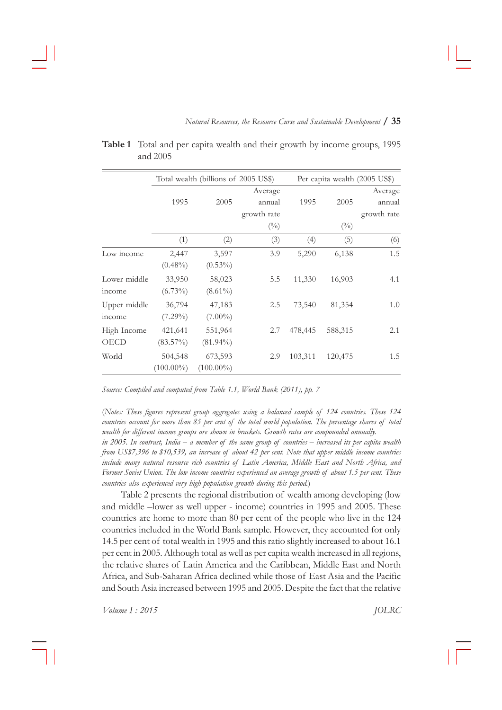|              |              | Total wealth (billions of 2005 US\$) |              | Per capita wealth (2005 US\$) |              |             |  |
|--------------|--------------|--------------------------------------|--------------|-------------------------------|--------------|-------------|--|
|              |              |                                      | Average      |                               |              | Average     |  |
|              | 1995         | 2005                                 | annual       | 1995                          | 2005         | annual      |  |
|              |              |                                      | growth rate  |                               |              | growth rate |  |
|              |              |                                      | $(^{0}_{0})$ |                               | $(^{0}_{0})$ |             |  |
|              | (1)          | (2)                                  | (3)          | (4)                           | (5)          | (6)         |  |
| Low income   | 2,447        | 3,597                                | 3.9          | 5,290                         | 6,138        | 1.5         |  |
|              | $(0.48\%)$   | $(0.53\%)$                           |              |                               |              |             |  |
| Lower middle | 33,950       | 58,023                               | 5.5          | 11,330                        | 16,903       | 4.1         |  |
| income       | $(6.73\%)$   | $(8.61\%)$                           |              |                               |              |             |  |
| Upper middle | 36,794       | 47,183                               | 2.5          | 73,540                        | 81,354       | 1.0         |  |
| income       | $(7.29\%)$   | $(7.00\%)$                           |              |                               |              |             |  |
| High Income  | 421,641      | 551,964                              | 2.7          | 478,445                       | 588,315      | 2.1         |  |
| OECD         | $(83.57\%)$  | $(81.94\%)$                          |              |                               |              |             |  |
| World        | 504,548      | 673,593                              | 2.9          | 103,311                       | 120,475      | 1.5         |  |
|              | $(100.00\%)$ | $(100.00\%)$                         |              |                               |              |             |  |

| <b>Table 1</b> Total and per capita wealth and their growth by income groups, 1995 |  |  |  |  |  |
|------------------------------------------------------------------------------------|--|--|--|--|--|
| and $2005$                                                                         |  |  |  |  |  |

*Source: Compiled and computed from Table 1.1, World Bank (2011), pp. 7*

(*Notes: These figures represent group aggregates using a balanced sample of 124 countries. These 124 countries account for more than 85 per cent of the total world population. The percentage shares of total wealth for different income groups are shown in brackets. Growth rates are compounded annually.*

*in 2005. In contrast, India – a member of the same group of countries – increased its per capita wealth from US\$7,396 to \$10,539, an increase of about 42 per cent. Note that upper middle income countries include many natural resource rich countries of Latin America, Middle East and North Africa, and Former Soviet Union. The low income countries experienced an average growth of about 1.5 per cent. These countries also experienced very high population growth during this period.*)

Table 2 presents the regional distribution of wealth among developing (low and middle -lower as well upper - income) countries in 1995 and 2005. These countries are home to more than 80 per cent of the people who live in the 124 countries included in the World Bank sample. However, they accounted for only 14.5 per cent of total wealth in 1995 and this ratio slightly increased to about 16.1 per cent in 2005. Although total as well as per capita wealth increased in all regions, the relative shares of Latin America and the Caribbean, Middle East and North Africa, and Sub-Saharan Africa declined while those of East Asia and the Pacific and South Asia increased between 1995 and 2005. Despite the fact that the relative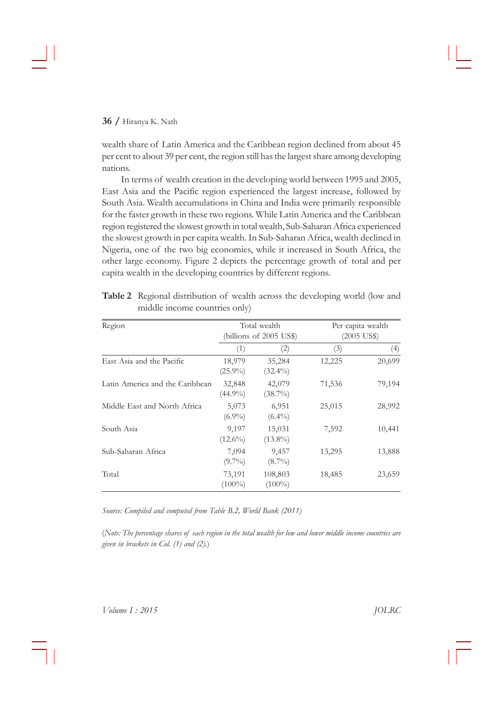wealth share of Latin America and the Caribbean region declined from about 45 per cent to about 39 per cent, the region still has the largest share among developing nations.

In terms of wealth creation in the developing world between 1995 and 2005, East Asia and the Pacific region experienced the largest increase, followed by South Asia. Wealth accumulations in China and India were primarily responsible for the faster growth in these two regions. While Latin America and the Caribbean region†registered†the†slowest†growth†in†total†wealth,†Sub-Saharan†Africa†experienced the slowest growth in per capita wealth. In Sub-Saharan Africa, wealth declined in Nigeria, one of the two big economies, while it increased in South Africa, the other large economy. Figure 2 depicts the percentage growth of total and per capita wealth in the developing countries by different regions.

| Region                          |                      | Total wealth<br>(billions of $2005$ US\$) | Per capita wealth<br>$(2005$ US\$) |        |  |
|---------------------------------|----------------------|-------------------------------------------|------------------------------------|--------|--|
|                                 | (1)                  | $\left( 2\right)$                         | (3)                                | (4)    |  |
| East Asia and the Pacific       | 18,979<br>$(25.9\%)$ | 35,284<br>$(32.4\%)$                      | 12,225                             | 20,699 |  |
| Latin America and the Caribbean | 32,848<br>$(44.9\%)$ | 42,079<br>$(38.7\%)$                      | 71,536                             | 79,194 |  |
| Middle East and North Africa    | 5,073<br>$(6.9\%)$   | 6,951<br>$(6.4\%)$                        | 25,015                             | 28,992 |  |
| South Asia                      | 9,197<br>$(12.6\%)$  | 15,031<br>$(13.8\%)$                      | 7,592                              | 10,441 |  |
| Sub-Saharan Africa              | 7,094<br>$(9.7\%)$   | 9,457<br>$(8.7\%)$                        | 13,295                             | 13,888 |  |
| Total                           | 73,191<br>$(100\%)$  | 108,803<br>$(100\%)$                      | 18,485                             | 23,659 |  |

Table 2 Regional distribution of wealth across the developing world (low and middle income countries only)

*Source: Compiled and computed from Table B.2, World Bank (2011)*

(*Note: The percentage shares of each region in the total wealth for low and lower middle income countries are given in brackets in Col. (1) and (2).*)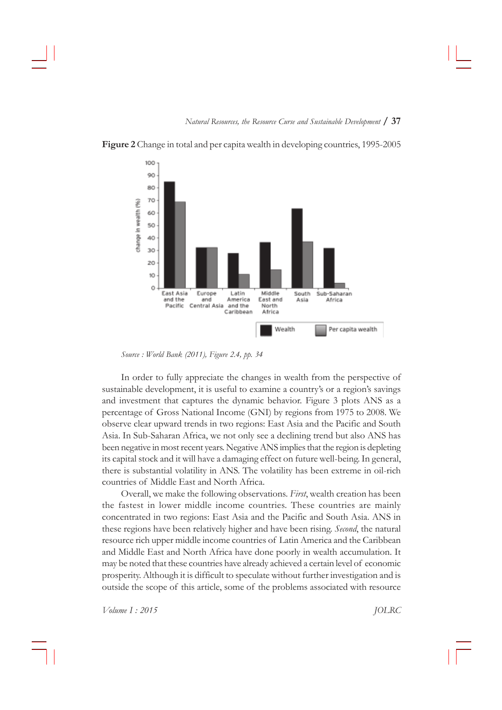

Figure 2 Change in total and per capita wealth in developing countries, 1995-2005

*Source : World Bank (2011), Figure 2.4, pp. 34*

In order to fully appreciate the changes in wealth from the perspective of sustainable development, it is useful to examine a country's or a region's savings and investment that captures the dynamic behavior. Figure 3 plots ANS as a percentage of Gross National Income (GNI) by regions from 1975 to 2008. We observe clear upward trends in two regions: East Asia and the Pacific and South Asia. In Sub-Saharan Africa, we not only see a declining trend but also ANS has been negative in most recent years. Negative ANS implies that the region is depleting its capital stock and it will have a damaging effect on future well-being. In general, there is substantial volatility in ANS. The volatility has been extreme in oil-rich countries of Middle East and North Africa.

Overall,†we†make†the†following†observations.†*First*,†wealth†creation†has†been the fastest in lower middle income countries. These countries are mainly concentrated in two regions: East Asia and the Pacific and South Asia. ANS in these regions have been relatively higher and have been rising. *Second*, the natural resource rich upper middle income countries of Latin America and the Caribbean and Middle East and North Africa have done poorly in wealth accumulation. It may be noted that these countries have already achieved a certain level of economic prosperity. Although it is difficult to speculate without further investigation and is outside the scope of this article, some of the problems associated with resource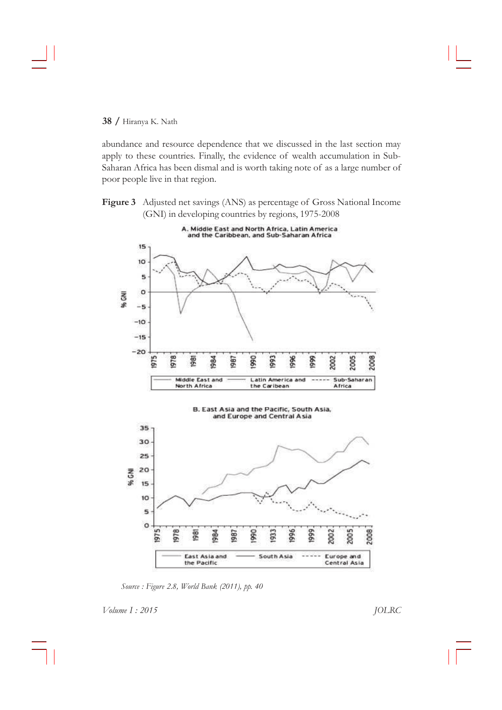abundance and resource dependence that we discussed in the last section may apply to these countries. Finally, the evidence of wealth accumulation in Sub-Saharan Africa has been dismal and is worth taking note of as a large number of poor people live in that region.

Figure 3 Adjusted net savings (ANS) as percentage of Gross National Income (GNI) in developing countries by regions, 1975-2008



*Source : Figure 2.8, World Bank (2011), pp. 40*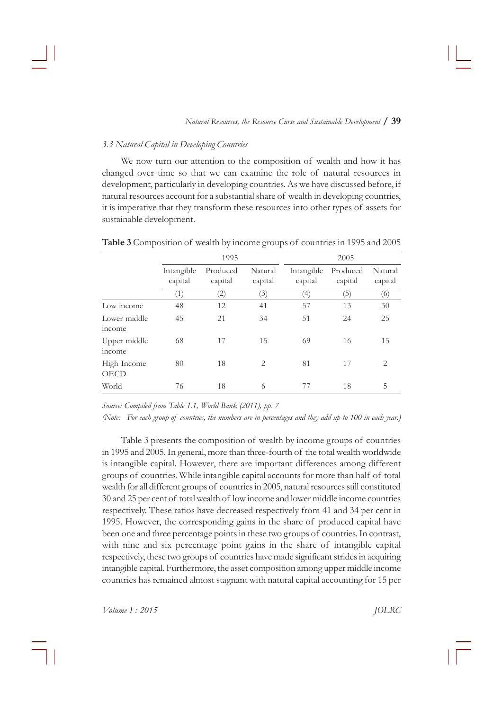#### *3.3 Natural Capital in Developing Countries*

We now turn our attention to the composition of wealth and how it has changed over time so that we can examine the role of natural resources in development, particularly in developing countries. As we have discussed before, if natural resources account for a substantial share of wealth in developing countries, it is imperative that they transform these resources into other types of assets for sustainable development.

|                        |                       | 1995                |                    | 2005                  |                     |                    |  |
|------------------------|-----------------------|---------------------|--------------------|-----------------------|---------------------|--------------------|--|
|                        | Intangible<br>capital | Produced<br>capital | Natural<br>capital | Intangible<br>capital | Produced<br>capital | Natural<br>capital |  |
|                        | (1)                   | (2)                 | (3)                | (4)                   | (5)                 | (6)                |  |
| Low income             | 48                    | 12                  | 41                 | 57                    | 13                  | 30                 |  |
| Lower middle<br>income | 45                    | 21                  | 34                 | 51                    | 24                  | 25                 |  |
| Upper middle<br>income | 68                    | 17                  | 15                 | 69                    | 16                  | 15                 |  |
| High Income<br>OECD    | 80                    | 18                  | $\overline{2}$     | 81                    | 17                  | 2                  |  |
| World                  | 76                    | 18                  | 6                  | 77                    | 18                  | 5                  |  |

Table 3 Composition of wealth by income groups of countries in 1995 and 2005

*Source: Compiled from Table 1.1, World Bank (2011), pp. 7*

*(Note: For each group of countries, the numbers are in percentages and they add up to 100 in each year.)*

Table 3 presents the composition of wealth by income groups of countries in 1995 and 2005. In general, more than three-fourth of the total wealth worldwide is intangible capital. However, there are important differences among different groups of countries. While intangible capital accounts for more than half of total wealth for all different groups of countries in 2005, natural resources still constituted 30 and 25 per cent of total wealth of low income and lower middle income countries respectively. These ratios have decreased respectively from 41 and 34 per cent in 1995. However, the corresponding gains in the share of produced capital have been one and three percentage points in these two groups of countries. In contrast, with nine and six percentage point gains in the share of intangible capital respectively, these two groups of countries have made significant strides in acquiring intangible capital. Furthermore, the asset composition among upper middle income countries has remained almost stagnant with natural capital accounting for 15 per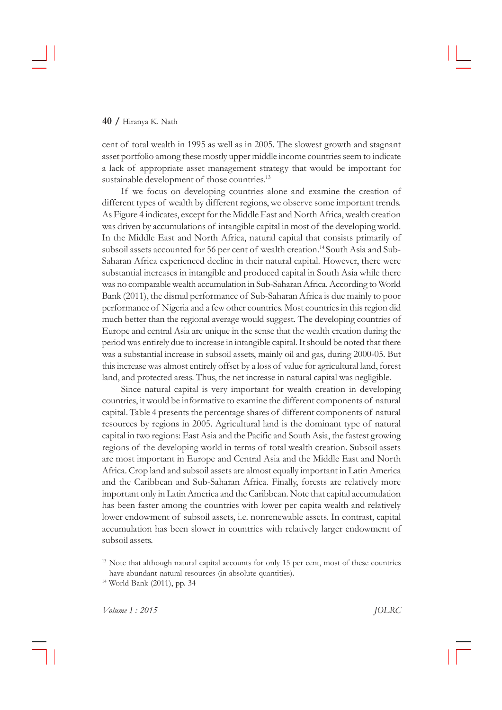#### **40 /**†Hiranya†K.†Nath

cent of total wealth in 1995 as well as in 2005. The slowest growth and stagnant asset portfolio among these mostly upper middle income countries seem to indicate a lack of appropriate asset management strategy that would be important for sustainable development of those countries.<sup>13</sup>

If we focus on developing countries alone and examine the creation of different types of wealth by different regions, we observe some important trends. As Figure 4 indicates, except for the Middle East and North Africa, wealth creation was driven by accumulations of intangible capital in most of the developing world. In the Middle East and North Africa, natural capital that consists primarily of subsoil assets accounted for 56 per cent of wealth creation.<sup>14</sup> South Asia and Sub-Saharan Africa experienced decline in their natural capital. However, there were substantial increases in intangible and produced capital in South Asia while there was no comparable wealth accumulation in Sub-Saharan Africa. According to World Bank (2011), the dismal performance of Sub-Saharan Africa is due mainly to poor performance of Nigeria and a few other countries. Most countries in this region did much better than the regional average would suggest. The developing countries of Europe and central Asia are unique in the sense that the wealth creation during the period was entirely due to increase in intangible capital. It should be noted that there was a substantial increase in subsoil assets, mainly oil and gas, during 2000-05. But this†increase†was†almost†entirely†offset†by†a†loss†of†value†for†agricultural†land,†forest land, and protected areas. Thus, the net increase in natural capital was negligible.

Since natural capital is very important for wealth creation in developing countries, it would be informative to examine the different components of natural capital.†Table†4†presents†the†percentage†shares†of †different†components†of†natural resources by regions in 2005. Agricultural land is the dominant type of natural capital in two regions: East Asia and the Pacific and South Asia, the fastest growing regions of the developing world in terms of total wealth creation. Subsoil assets are most important in Europe and Central Asia and the Middle East and North Africa. Crop land and subsoil assets are almost equally important in Latin America and the Caribbean and Sub-Saharan Africa. Finally, forests are relatively more important only in Latin America and the Caribbean. Note that capital accumulation has been faster among the countries with lower per capita wealth and relatively lower endowment of subsoil assets, i.e. nonrenewable assets. In contrast, capital accumulation has been slower in countries with relatively larger endowment of subsoil assets.

<sup>&</sup>lt;sup>13</sup> Note that although natural capital accounts for only 15 per cent, most of these countries have abundant natural resources (in absolute quantities).

<sup>&</sup>lt;sup>14</sup> World Bank (2011), pp. 34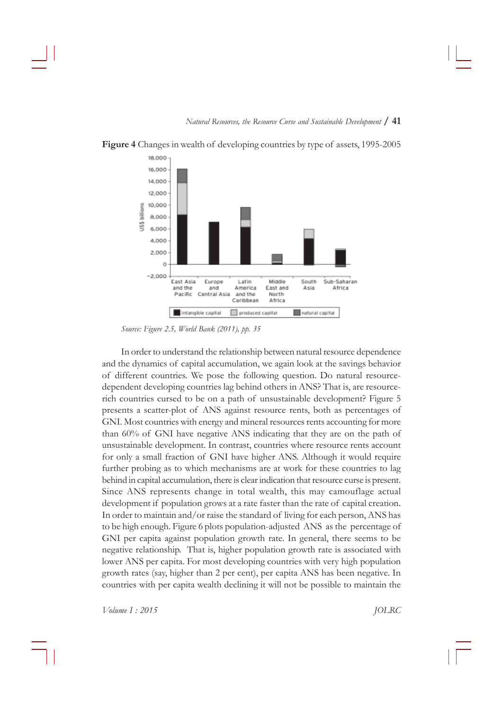

**Figure 4** Changes in wealth of developing countries by type of assets, 1995-2005

*Source: Figure 2.5, World Bank (2011), pp. 35*

In order to understand the relationship between natural resource dependence and the dynamics of capital accumulation, we again look at the savings behavior of different countries. We pose the following question. Do natural resourcedependent developing countries lag behind others in ANS? That is, are resourcerich countries cursed to be on a path of unsustainable development? Figure  $5$ presents a scatter-plot of ANS against resource rents, both as percentages of GNI. Most countries with energy and mineral resources rents accounting for more than 60% of GNI have negative ANS indicating that they are on the path of unsustainable development. In contrast, countries where resource rents account for only a small fraction of GNI have higher ANS. Although it would require further probing as to which mechanisms are at work for these countries to lag behind in capital accumulation, there is clear indication that resource curse is present. Since ANS represents change in total wealth, this may camouflage actual development if population grows at a rate faster than the rate of capital creation. In order to maintain and/or raise the standard of living for each person, ANS has to be high enough. Figure 6 plots population-adjusted ANS as the percentage of GNI per capita against population growth rate. In general, there seems to be negative relationship. That is, higher population growth rate is associated with lower ANS per capita. For most developing countries with very high population growth rates (say, higher than 2 per cent), per capita ANS has been negative. In countries with per capita wealth declining it will not be possible to maintain the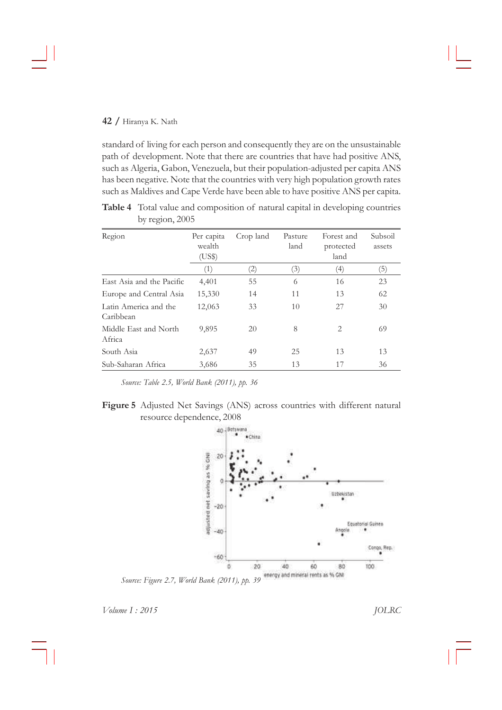standard of living for each person and consequently they are on the unsustainable path of development. Note that there are countries that have had positive ANS, such as Algeria, Gabon, Venezuela, but their population-adjusted per capita ANS has been negative. Note that the countries with very high population growth rates such as Maldives and Cape Verde have been able to have positive ANS per capita.

Table 4 Total value and composition of natural capital in developing countries by region, 2005

| Region                             | Per capita<br>wealth<br>(US\$) | Crop land | Pasture<br>land | Forest and<br>protected<br>land | Subsoil<br>assets |
|------------------------------------|--------------------------------|-----------|-----------------|---------------------------------|-------------------|
|                                    | (1)                            | (2)       | (3)             | $\left(4\right)$                | $\left(5\right)$  |
| East Asia and the Pacific          | 4,401                          | 55        | 6               | 16                              | 23                |
| Europe and Central Asia            | 15,330                         | 14        | 11              | 13                              | 62                |
| Latin America and the<br>Caribbean | 12,063                         | 33        | 10              | 27                              | 30                |
| Middle East and North<br>Africa    | 9,895                          | 20        | 8               | 2                               | 69                |
| South Asia                         | 2,637                          | 49        | 25              | 13                              | 13                |
| Sub-Saharan Africa                 | 3,686                          | 35        | 13              | 17                              | 36                |

*Source: Table 2.5, World Bank (2011), pp. 36*





*Source: Figure 2.7, World Bank (2011), pp. 39*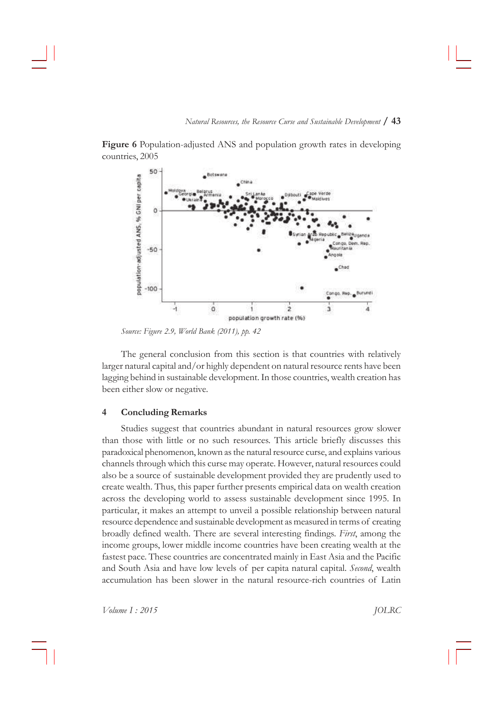

Figure 6<sup>Population-adjusted ANS and population growth rates in developing</sup> countries, 2005

*Source: Figure 2.9, World Bank (2011), pp. 42*

The general conclusion from this section is that countries with relatively larger natural capital and/or highly dependent on natural resource rents have been lagging behind in sustainable development. In those countries, wealth creation has been either slow or negative.

## **4 Concluding Remarks**

Studies suggest that countries abundant in natural resources grow slower than those with little or no such resources. This article briefly discusses this paradoxical†phenomenon,†known†as†the†natural†resource†curse,†and†explains†various channels through which this curse may operate. However, natural resources could also be a source of sustainable development provided they are prudently used to create wealth. Thus, this paper further presents empirical data on wealth creation across the developing world to assess sustainable development since 1995. In particular, it makes an attempt to unveil a possible relationship between natural resource dependence and sustainable development as measured in terms of creating broadly†defined†wealth.†There†are†several†interesting†findings.†*First*,†among†the income groups, lower middle income countries have been creating wealth at the fastest pace. These countries are concentrated mainly in East Asia and the Pacific and South Asia and have low levels of per capita natural capital. *Second*, wealth accumulation has been slower in the natural resource-rich countries of Latin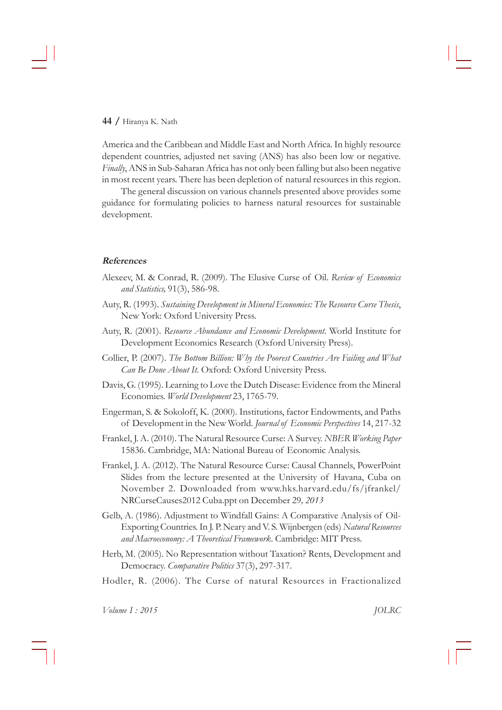# **44 /**†Hiranya†K.†Nath

America and the Caribbean and Middle East and North Africa. In highly resource dependent countries, adjusted net saving (ANS) has also been low or negative. *Finally*, ANS in Sub-Saharan Africa has not only been falling but also been negative in most recent years. There has been depletion of natural resources in this region.

The general discussion on various channels presented above provides some guidance for formulating policies to harness natural resources for sustainable development.

# **References**

- Alexeev, M. & Conrad, R. (2009). The Elusive Curse of Oil. Review of Economics *and Statistics,*†91(3),†586-98.
- Auty,†R.†(1993).†*Sustaining Development in Mineral Economies: The Resource Curse Thesis*, New York: Oxford University Press.
- Auty, R. (2001). Resource Abundance and Economic Development. World Institute for Development Economics Research (Oxford University Press).
- Collier, P. (2007). *The Bottom Billion: Why the Poorest Countries Are Failing and What Can Be Done About It*.†Oxford:†Oxford†University†Press.
- Davis, G. (1995). Learning to Love the Dutch Disease: Evidence from the Mineral Economies.†*World Development*†23,†1765-79.
- Engerman, S. & Sokoloff, K. (2000). Institutions, factor Endowments, and Paths of †Development†in†the†New†World.†*Journal of Economic Perspectives*†14,†217-32
- Frankel,†J.†A.†(2010).†The†Natural†Resource†Curse:†A†Survey.†*NBER Working Paper* 15836. Cambridge, MA: National Bureau of Economic Analysis.
- Frankel, J. A. (2012). The Natural Resource Curse: Causal Channels, PowerPoint Slides from the lecture presented at the University of Havana, Cuba on November 2. Downloaded from www.hks.harvard.edu/fs/jfrankel/ NRCurseCauses2012†Cuba.ppt†on†December†29*, 2013*
- Gelb, A. (1986). Adjustment to Windfall Gains: A Comparative Analysis of Oil-Exporting†Countries.†In†J.†P.†Neary†and†V.†S.†Wijnbergen†(eds)†*Natural Resources and Macroeconomy: A Theoretical Framework*.†Cambridge:†MIT†Press.
- Herb, M. (2005). No Representation without Taxation? Rents, Development and Democracy.†*Comparative Politics*†37(3),†297-317.
- Hodler, R. (2006). The Curse of natural Resources in Fractionalized